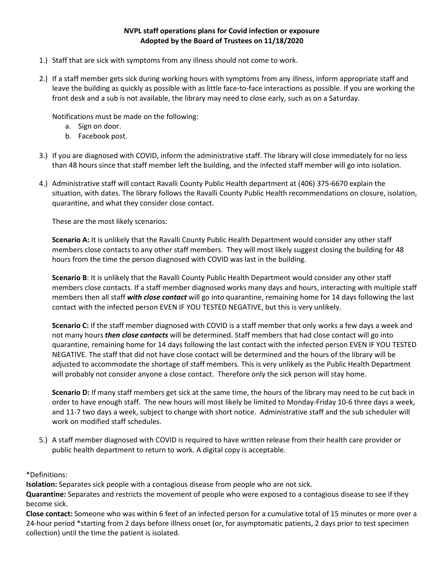## **NVPL staff operations plans for Covid infection or exposure Adopted by the Board of Trustees on 11/18/2020**

- 1.) Staff that are sick with symptoms from any illness should not come to work.
- 2.) If a staff member gets sick during working hours with symptoms from any illness, inform appropriate staff and leave the building as quickly as possible with as little face-to-face interactions as possible. If you are working the front desk and a sub is not available, the library may need to close early, such as on a Saturday.

Notifications must be made on the following:

- a. Sign on door.
- b. Facebook post.
- 3.) If you are diagnosed with COVID, inform the administrative staff. The library will close immediately for no less than 48 hours since that staff member left the building, and the infected staff member will go into isolation.
- 4.) Administrative staff will contact Ravalli County Public Health department at (406) 375-6670 explain the situation, with dates. The library follows the Ravalli County Public Health recommendations on closure, isolation, quarantine, and what they consider close contact.

These are the most likely scenarios:

**Scenario A:** It is unlikely that the Ravalli County Public Health Department would consider any other staff members close contacts to any other staff members. They will most likely suggest closing the building for 48 hours from the time the person diagnosed with COVID was last in the building.

**Scenario B**: It is unlikely that the Ravalli County Public Health Department would consider any other staff members close contacts. If a staff member diagnosed works many days and hours, interacting with multiple staff members then all staff *with close contact* will go into quarantine, remaining home for 14 days following the last contact with the infected person EVEN IF YOU TESTED NEGATIVE, but this is very unlikely.

**Scenario C:** If the staff member diagnosed with COVID is a staff member that only works a few days a week and not many hours *then close contacts* will be determined. Staff members that had close contact will go into quarantine, remaining home for 14 days following the last contact with the infected person EVEN IF YOU TESTED NEGATIVE. The staff that did not have close contact will be determined and the hours of the library will be adjusted to accommodate the shortage of staff members. This is very unlikely as the Public Health Department will probably not consider anyone a close contact. Therefore only the sick person will stay home.

**Scenario D:** If many staff members get sick at the same time, the hours of the library may need to be cut back in order to have enough staff. The new hours will most likely be limited to Monday-Friday 10-6 three days a week, and 11-7 two days a week, subject to change with short notice. Administrative staff and the sub scheduler will work on modified staff schedules.

5.) A staff member diagnosed with COVID is required to have written release from their health care provider or public health department to return to work. A digital copy is acceptable.

\*Definitions:

**Isolation:** Separates sick people with a contagious disease from people who are not sick.

**Quarantine:** Separates and restricts the movement of people who were exposed to a contagious disease to see if they become sick.

**Close contact:** Someone who was within 6 feet of an infected person for a cumulative total of 15 minutes or more over a 24-hour period \*starting from 2 days before illness onset (or, for asymptomatic patients, 2 days prior to test specimen collection) until the time the patient is isolated.